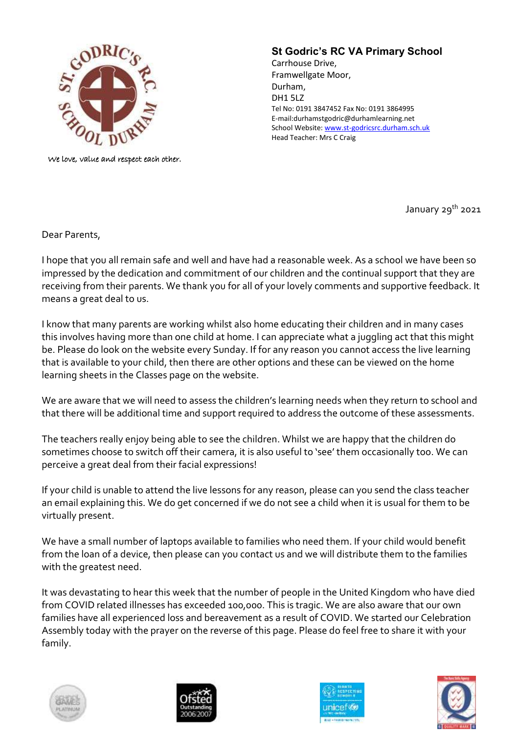

We love, value and respect each other.

## **St Godric's RC VA Primary School**

Carrhouse Drive, Framwellgate Moor, Durham, DH1 5LZ Tel No: 0191 3847452 Fax No: 0191 3864995 E-mail:durhamstgodric@durhamlearning.net School Website[: www.st-godricsrc.durham.sch.uk](http://www.st-godricsrc.durham.sch.uk/) Head Teacher: Mrs C Craig

January 29<sup>th</sup> 2021

Dear Parents,

I hope that you all remain safe and well and have had a reasonable week. As a school we have been so impressed by the dedication and commitment of our children and the continual support that they are receiving from their parents. We thank you for all of your lovely comments and supportive feedback. It means a great deal to us.

I know that many parents are working whilst also home educating their children and in many cases this involves having more than one child at home. I can appreciate what a juggling act that this might be. Please do look on the website every Sunday. If for any reason you cannot access the live learning that is available to your child, then there are other options and these can be viewed on the home learning sheets in the Classes page on the website.

We are aware that we will need to assess the children's learning needs when they return to school and that there will be additional time and support required to address the outcome of these assessments.

The teachers really enjoy being able to see the children. Whilst we are happy that the children do sometimes choose to switch off their camera, it is also useful to 'see' them occasionally too. We can perceive a great deal from their facial expressions!

If your child is unable to attend the live lessons for any reason, please can you send the class teacher an email explaining this. We do get concerned if we do not see a child when it is usual for them to be virtually present.

We have a small number of laptops available to families who need them. If your child would benefit from the loan of a device, then please can you contact us and we will distribute them to the families with the greatest need.

It was devastating to hear this week that the number of people in the United Kingdom who have died from COVID related illnesses has exceeded 100,000. This is tragic. We are also aware that our own families have all experienced loss and bereavement as a result of COVID. We started our Celebration Assembly today with the prayer on the reverse of this page. Please do feel free to share it with your family.